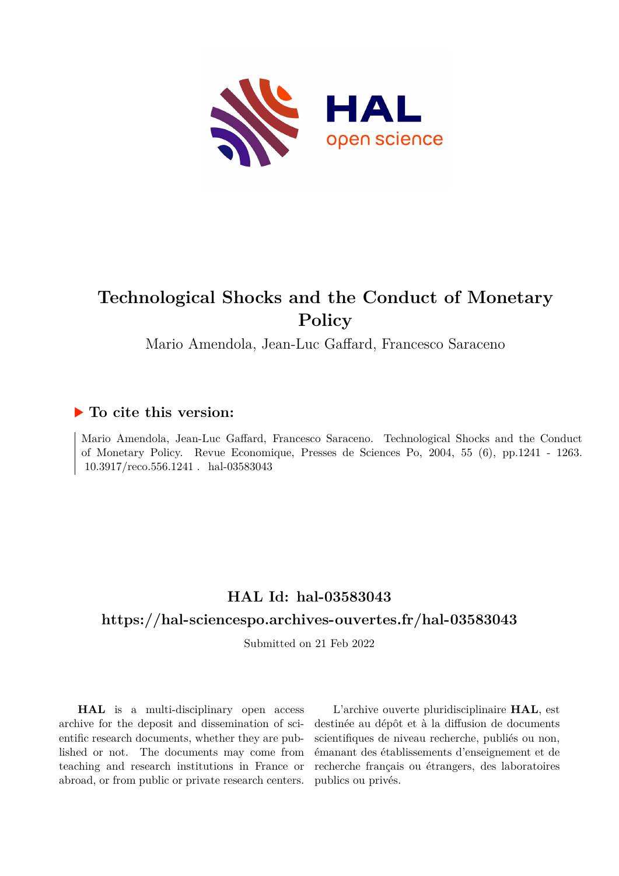

# **Technological Shocks and the Conduct of Monetary Policy**

Mario Amendola, Jean-Luc Gaffard, Francesco Saraceno

## **To cite this version:**

Mario Amendola, Jean-Luc Gaffard, Francesco Saraceno. Technological Shocks and the Conduct of Monetary Policy. Revue Economique, Presses de Sciences Po, 2004, 55 (6), pp.1241 - 1263.  $10.3917/\text{reco}.556.1241$ . hal-03583043

# **HAL Id: hal-03583043**

## **<https://hal-sciencespo.archives-ouvertes.fr/hal-03583043>**

Submitted on 21 Feb 2022

**HAL** is a multi-disciplinary open access archive for the deposit and dissemination of scientific research documents, whether they are published or not. The documents may come from teaching and research institutions in France or abroad, or from public or private research centers.

L'archive ouverte pluridisciplinaire **HAL**, est destinée au dépôt et à la diffusion de documents scientifiques de niveau recherche, publiés ou non, émanant des établissements d'enseignement et de recherche français ou étrangers, des laboratoires publics ou privés.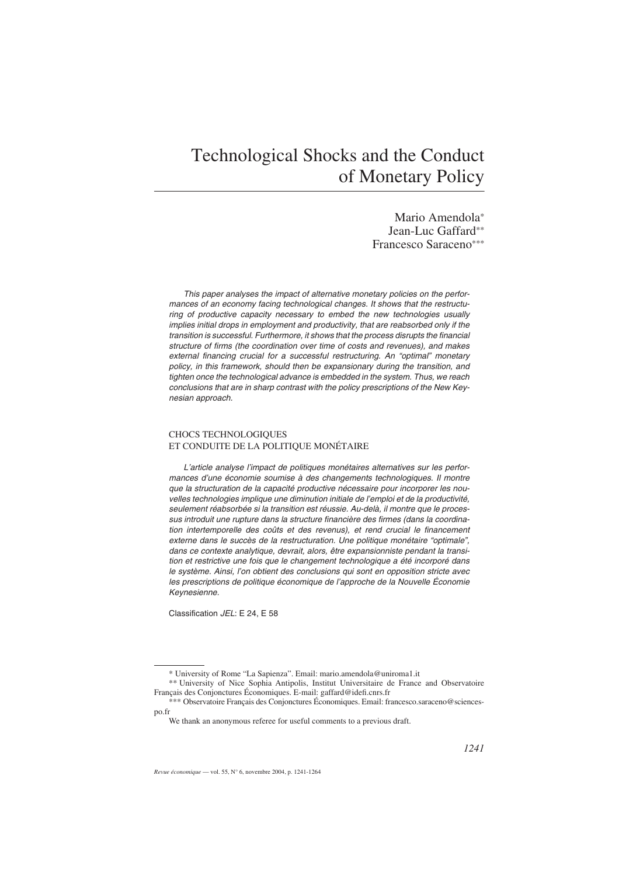Mario Amendola\* Jean-Luc Gaffard\*\* Francesco Saraceno\*\*\*

*This paper analyses the impact of alternative monetary policies on the performances of an economy facing technological changes. It shows that the restructuring of productive capacity necessary to embed the new technologies usually implies initial drops in employment and productivity, that are reabsorbed only if the transition is successful. Furthermore, it shows that the process disrupts the financial structure of firms (the coordination over time of costs and revenues), and makes external financing crucial for a successful restructuring. An "optimal" monetary policy, in this framework, should then be expansionary during the transition, and tighten once the technological advance is embedded in the system. Thus, we reach conclusions that are in sharp contrast with the policy prescriptions of the New Keynesian approach.*

#### CHOCS TECHNOLOGIQUES ET CONDUITE DE LA POLITIQUE MONÉTAIRE

*L'article analyse l'impact de politiques monétaires alternatives sur les performances d'une économie soumise à des changements technologiques. Il montre que la structuration de la capacité productive nécessaire pour incorporer les nouvelles technologies implique une diminution initiale de l'emploi et de la productivité, seulement réabsorbée si la transition est réussie. Au-delà, il montre que le processus introduit une rupture dans la structure financière des firmes (dans la coordination intertemporelle des coûts et des revenus), et rend crucial le financement externe dans le succès de la restructuration. Une politique monétaire "optimale", dans ce contexte analytique, devrait, alors, être expansionniste pendant la transition et restrictive une fois que le changement technologique a été incorporé dans le système. Ainsi, l'on obtient des conclusions qui sont en opposition stricte avec les prescriptions de politique économique de l'approche de la Nouvelle Économie Keynesienne.*

Classification *JEL*: E 24, E 58

<sup>\*</sup> University of Rome "La Sapienza". Email: mario.amendola@uniroma1.it

<sup>\*\*</sup> University of Nice Sophia Antipolis, Institut Universitaire de France and Observatoire Français des Conjonctures Économiques. E-mail: gaffard@idefi.cnrs.fr

<sup>\*\*\*</sup> Observatoire Français des Conjonctures Économiques. Email: francesco.saraceno@sciencespo.fr

We thank an anonymous referee for useful comments to a previous draft.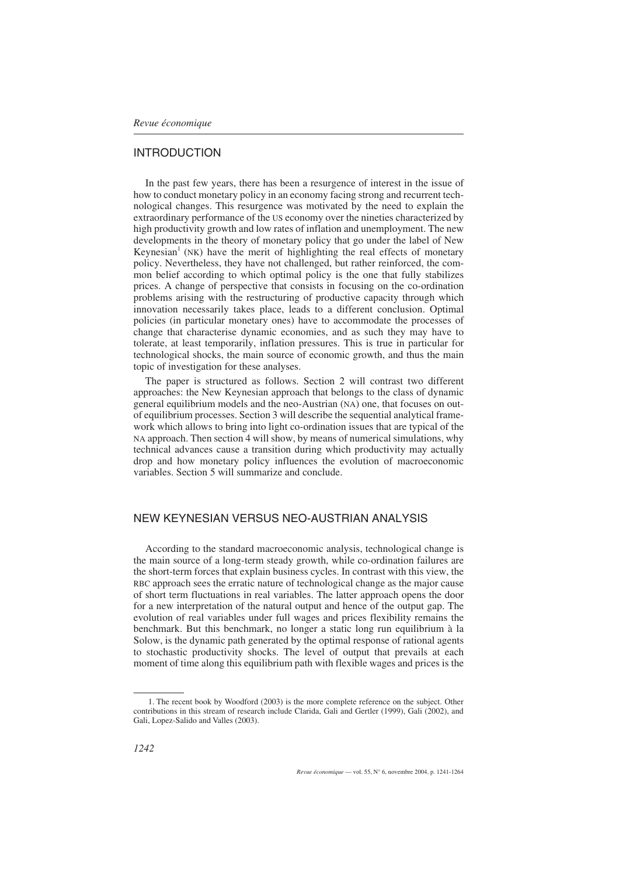### **INTRODUCTION**

In the past few years, there has been a resurgence of interest in the issue of how to conduct monetary policy in an economy facing strong and recurrent technological changes. This resurgence was motivated by the need to explain the extraordinary performance of the US economy over the nineties characterized by high productivity growth and low rates of inflation and unemployment. The new developments in the theory of monetary policy that go under the label of New  $Keynesian<sup>1</sup>$  (NK) have the merit of highlighting the real effects of monetary policy. Nevertheless, they have not challenged, but rather reinforced, the common belief according to which optimal policy is the one that fully stabilizes prices. A change of perspective that consists in focusing on the co-ordination problems arising with the restructuring of productive capacity through which innovation necessarily takes place, leads to a different conclusion. Optimal policies (in particular monetary ones) have to accommodate the processes of change that characterise dynamic economies, and as such they may have to tolerate, at least temporarily, inflation pressures. This is true in particular for technological shocks, the main source of economic growth, and thus the main topic of investigation for these analyses.

The paper is structured as follows. Section 2 will contrast two different approaches: the New Keynesian approach that belongs to the class of dynamic general equilibrium models and the neo-Austrian (NA) one, that focuses on outof equilibrium processes. Section 3 will describe the sequential analytical framework which allows to bring into light co-ordination issues that are typical of the NA approach. Then section 4 will show, by means of numerical simulations, why technical advances cause a transition during which productivity may actually drop and how monetary policy influences the evolution of macroeconomic variables. Section 5 will summarize and conclude.

#### NEW KEYNESIAN VERSUS NEO-AUSTRIAN ANALYSIS

According to the standard macroeconomic analysis, technological change is the main source of a long-term steady growth, while co-ordination failures are the short-term forces that explain business cycles. In contrast with this view, the RBC approach sees the erratic nature of technological change as the major cause of short term fluctuations in real variables. The latter approach opens the door for a new interpretation of the natural output and hence of the output gap. The evolution of real variables under full wages and prices flexibility remains the benchmark. But this benchmark, no longer a static long run equilibrium à la Solow, is the dynamic path generated by the optimal response of rational agents to stochastic productivity shocks. The level of output that prevails at each moment of time along this equilibrium path with flexible wages and prices is the

<sup>1.</sup> The recent book by Woodford (2003) is the more complete reference on the subject. Other contributions in this stream of research include Clarida, Gali and Gertler (1999), Gali (2002), and Gali, Lopez-Salido and Valles (2003).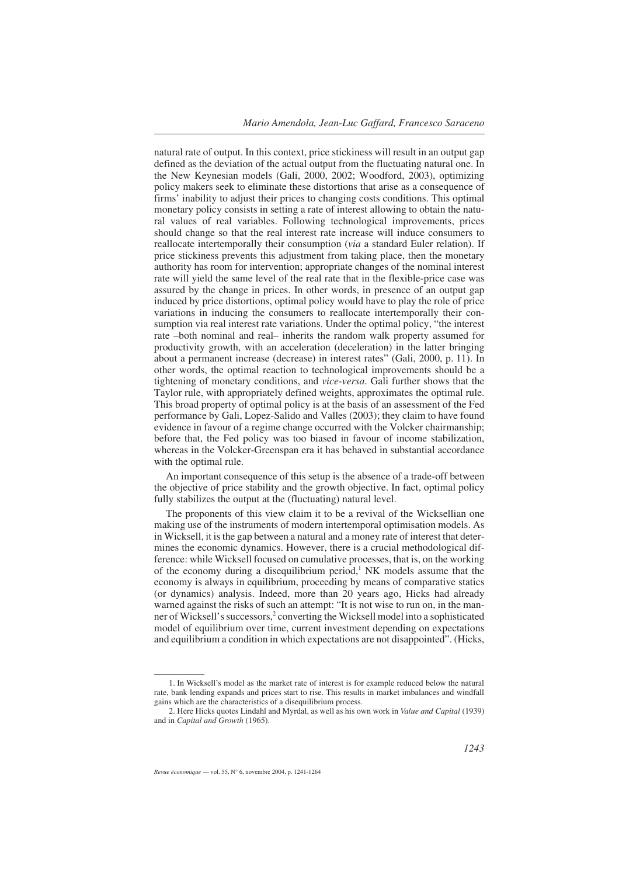natural rate of output. In this context, price stickiness will result in an output gap defined as the deviation of the actual output from the fluctuating natural one. In the New Keynesian models (Gali, 2000, 2002; Woodford, 2003), optimizing policy makers seek to eliminate these distortions that arise as a consequence of firms' inability to adjust their prices to changing costs conditions. This optimal monetary policy consists in setting a rate of interest allowing to obtain the natural values of real variables. Following technological improvements, prices should change so that the real interest rate increase will induce consumers to reallocate intertemporally their consumption (*via* a standard Euler relation). If price stickiness prevents this adjustment from taking place, then the monetary authority has room for intervention; appropriate changes of the nominal interest rate will yield the same level of the real rate that in the flexible-price case was assured by the change in prices. In other words, in presence of an output gap induced by price distortions, optimal policy would have to play the role of price variations in inducing the consumers to reallocate intertemporally their consumption via real interest rate variations. Under the optimal policy, "the interest rate –both nominal and real– inherits the random walk property assumed for productivity growth, with an acceleration (deceleration) in the latter bringing about a permanent increase (decrease) in interest rates" (Gali, 2000, p. 11). In other words, the optimal reaction to technological improvements should be a tightening of monetary conditions, and *vice-versa*. Gali further shows that the Taylor rule, with appropriately defined weights, approximates the optimal rule. This broad property of optimal policy is at the basis of an assessment of the Fed performance by Gali, Lopez-Salido and Valles (2003); they claim to have found evidence in favour of a regime change occurred with the Volcker chairmanship; before that, the Fed policy was too biased in favour of income stabilization, whereas in the Volcker-Greenspan era it has behaved in substantial accordance with the optimal rule.

An important consequence of this setup is the absence of a trade-off between the objective of price stability and the growth objective. In fact, optimal policy fully stabilizes the output at the (fluctuating) natural level.

The proponents of this view claim it to be a revival of the Wicksellian one making use of the instruments of modern intertemporal optimisation models. As in Wicksell, it is the gap between a natural and a money rate of interest that determines the economic dynamics. However, there is a crucial methodological difference: while Wicksell focused on cumulative processes, that is, on the working of the economy during a disequilibrium period,<sup>1</sup> NK models assume that the economy is always in equilibrium, proceeding by means of comparative statics (or dynamics) analysis. Indeed, more than 20 years ago, Hicks had already warned against the risks of such an attempt: "It is not wise to run on, in the manner of Wicksell's successors,<sup>2</sup> converting the Wicksell model into a sophisticated model of equilibrium over time, current investment depending on expectations and equilibrium a condition in which expectations are not disappointed". (Hicks,

<sup>1.</sup> In Wicksell's model as the market rate of interest is for example reduced below the natural rate, bank lending expands and prices start to rise. This results in market imbalances and windfall gains which are the characteristics of a disequilibrium process.

<sup>2.</sup> Here Hicks quotes Lindahl and Myrdal, as well as his own work in *Value and Capital* (1939) and in *Capital and Growth* (1965).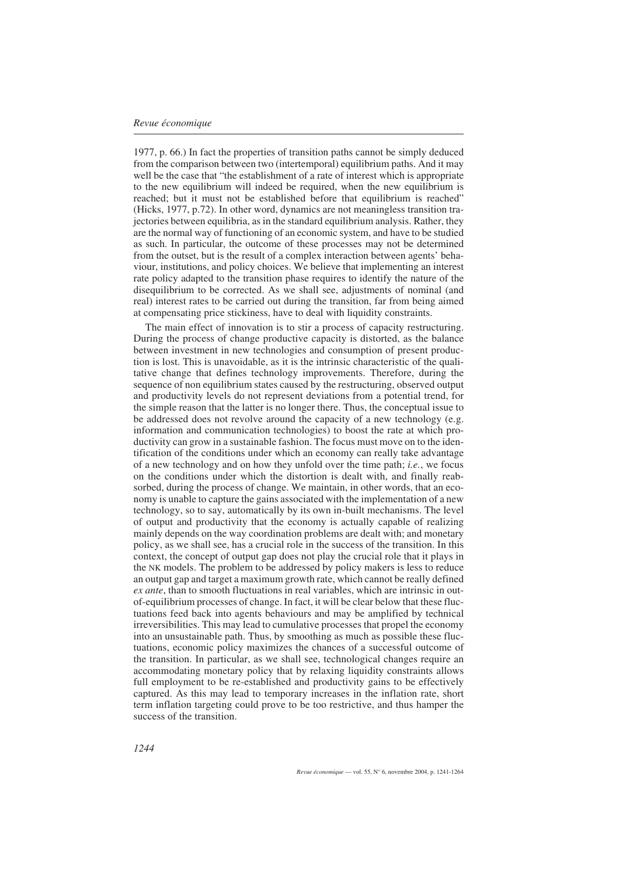1977, p. 66.) In fact the properties of transition paths cannot be simply deduced from the comparison between two (intertemporal) equilibrium paths. And it may well be the case that "the establishment of a rate of interest which is appropriate to the new equilibrium will indeed be required, when the new equilibrium is reached; but it must not be established before that equilibrium is reached" (Hicks, 1977, p.72). In other word, dynamics are not meaningless transition trajectories between equilibria, as in the standard equilibrium analysis. Rather, they are the normal way of functioning of an economic system, and have to be studied as such. In particular, the outcome of these processes may not be determined from the outset, but is the result of a complex interaction between agents' behaviour, institutions, and policy choices. We believe that implementing an interest rate policy adapted to the transition phase requires to identify the nature of the disequilibrium to be corrected. As we shall see, adjustments of nominal (and real) interest rates to be carried out during the transition, far from being aimed at compensating price stickiness, have to deal with liquidity constraints.

The main effect of innovation is to stir a process of capacity restructuring. During the process of change productive capacity is distorted, as the balance between investment in new technologies and consumption of present production is lost. This is unavoidable, as it is the intrinsic characteristic of the qualitative change that defines technology improvements. Therefore, during the sequence of non equilibrium states caused by the restructuring, observed output and productivity levels do not represent deviations from a potential trend, for the simple reason that the latter is no longer there. Thus, the conceptual issue to be addressed does not revolve around the capacity of a new technology (e.g. information and communication technologies) to boost the rate at which productivity can grow in a sustainable fashion. The focus must move on to the identification of the conditions under which an economy can really take advantage of a new technology and on how they unfold over the time path; *i.e.*, we focus on the conditions under which the distortion is dealt with, and finally reabsorbed, during the process of change. We maintain, in other words, that an economy is unable to capture the gains associated with the implementation of a new technology, so to say, automatically by its own in-built mechanisms. The level of output and productivity that the economy is actually capable of realizing mainly depends on the way coordination problems are dealt with; and monetary policy, as we shall see, has a crucial role in the success of the transition. In this context, the concept of output gap does not play the crucial role that it plays in the NK models. The problem to be addressed by policy makers is less to reduce an output gap and target a maximum growth rate, which cannot be really defined *ex ante*, than to smooth fluctuations in real variables, which are intrinsic in outof-equilibrium processes of change. In fact, it will be clear below that these fluctuations feed back into agents behaviours and may be amplified by technical irreversibilities. This may lead to cumulative processes that propel the economy into an unsustainable path. Thus, by smoothing as much as possible these fluctuations, economic policy maximizes the chances of a successful outcome of the transition. In particular, as we shall see, technological changes require an accommodating monetary policy that by relaxing liquidity constraints allows full employment to be re-established and productivity gains to be effectively captured. As this may lead to temporary increases in the inflation rate, short term inflation targeting could prove to be too restrictive, and thus hamper the success of the transition.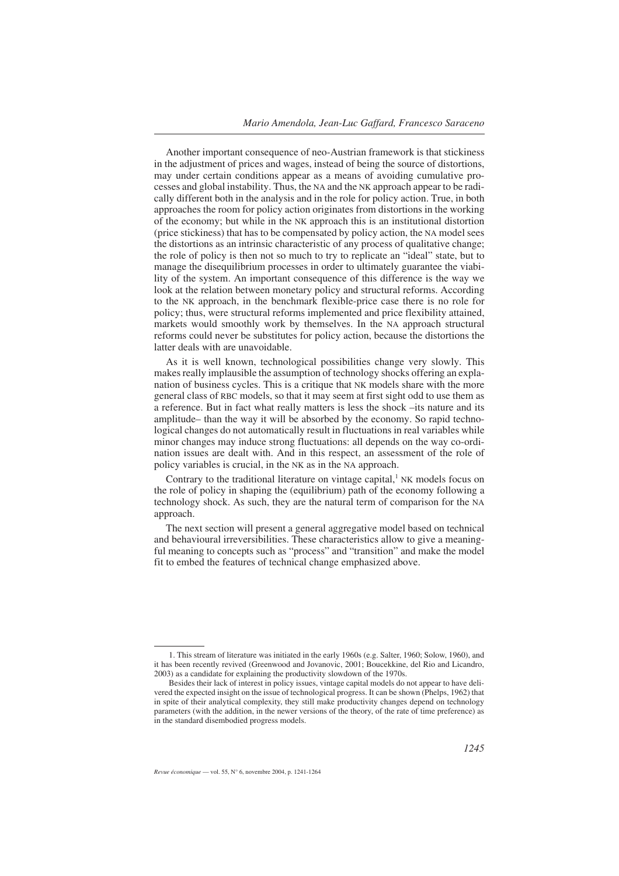Another important consequence of neo-Austrian framework is that stickiness in the adjustment of prices and wages, instead of being the source of distortions, may under certain conditions appear as a means of avoiding cumulative processes and global instability. Thus, the NA and the NK approach appear to be radically different both in the analysis and in the role for policy action. True, in both approaches the room for policy action originates from distortions in the working of the economy; but while in the NK approach this is an institutional distortion (price stickiness) that has to be compensated by policy action, the NA model sees the distortions as an intrinsic characteristic of any process of qualitative change; the role of policy is then not so much to try to replicate an "ideal" state, but to manage the disequilibrium processes in order to ultimately guarantee the viability of the system. An important consequence of this difference is the way we look at the relation between monetary policy and structural reforms. According to the NK approach, in the benchmark flexible-price case there is no role for policy; thus, were structural reforms implemented and price flexibility attained, markets would smoothly work by themselves. In the NA approach structural reforms could never be substitutes for policy action, because the distortions the latter deals with are unavoidable.

As it is well known, technological possibilities change very slowly. This makes really implausible the assumption of technology shocks offering an explanation of business cycles. This is a critique that NK models share with the more general class of RBC models, so that it may seem at first sight odd to use them as a reference. But in fact what really matters is less the shock –its nature and its amplitude– than the way it will be absorbed by the economy. So rapid technological changes do not automatically result in fluctuations in real variables while minor changes may induce strong fluctuations: all depends on the way co-ordination issues are dealt with. And in this respect, an assessment of the role of policy variables is crucial, in the NK as in the NA approach.

Contrary to the traditional literature on vintage capital, $<sup>1</sup>$  NK models focus on</sup> the role of policy in shaping the (equilibrium) path of the economy following a technology shock. As such, they are the natural term of comparison for the NA approach.

The next section will present a general aggregative model based on technical and behavioural irreversibilities. These characteristics allow to give a meaningful meaning to concepts such as "process" and "transition" and make the model fit to embed the features of technical change emphasized above.

<sup>1.</sup> This stream of literature was initiated in the early 1960s (e.g. Salter, 1960; Solow, 1960), and it has been recently revived (Greenwood and Jovanovic, 2001; Boucekkine, del Rio and Licandro, 2003) as a candidate for explaining the productivity slowdown of the 1970s.

Besides their lack of interest in policy issues, vintage capital models do not appear to have delivered the expected insight on the issue of technological progress. It can be shown (Phelps, 1962) that in spite of their analytical complexity, they still make productivity changes depend on technology parameters (with the addition, in the newer versions of the theory, of the rate of time preference) as in the standard disembodied progress models.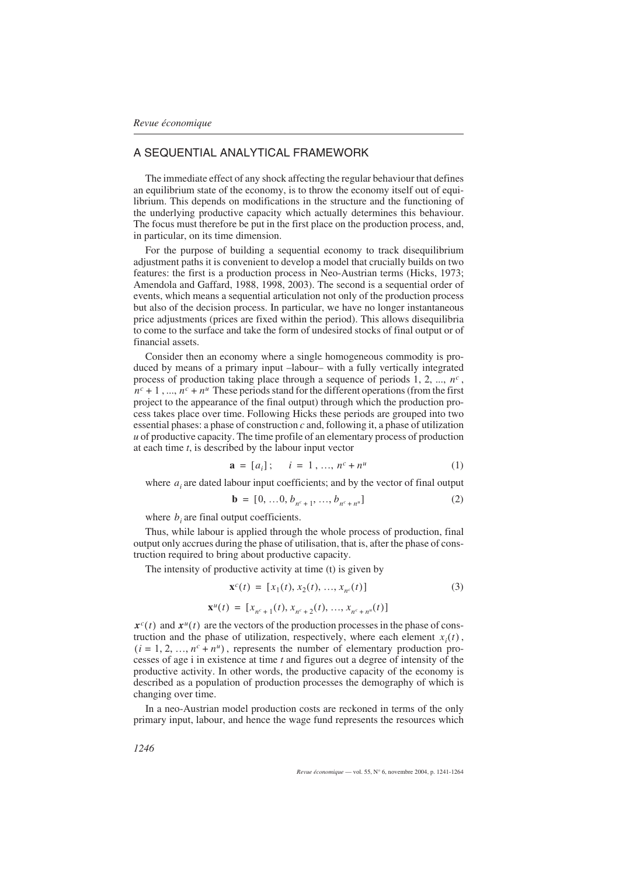### A SEQUENTIAL ANALYTICAL FRAMEWORK

The immediate effect of any shock affecting the regular behaviour that defines an equilibrium state of the economy, is to throw the economy itself out of equilibrium. This depends on modifications in the structure and the functioning of the underlying productive capacity which actually determines this behaviour. The focus must therefore be put in the first place on the production process, and, in particular, on its time dimension.

For the purpose of building a sequential economy to track disequilibrium adjustment paths it is convenient to develop a model that crucially builds on two features: the first is a production process in Neo-Austrian terms (Hicks, 1973; Amendola and Gaffard, 1988, 1998, 2003). The second is a sequential order of events, which means a sequential articulation not only of the production process but also of the decision process. In particular, we have no longer instantaneous price adjustments (prices are fixed within the period). This allows disequilibria to come to the surface and take the form of undesired stocks of final output or of financial assets.

Consider then an economy where a single homogeneous commodity is produced by means of a primary input –labour– with a fully vertically integrated process of production taking place through a sequence of periods  $1, 2, ..., n<sup>c</sup>$ ,  $n^c + 1$ , ...,  $n^c + n^u$  These periods stand for the different operations (from the first project to the appearance of the final output) through which the production process takes place over time. Following Hicks these periods are grouped into two essential phases: a phase of construction *c* and, following it, a phase of utilization *u* of productive capacity. The time profile of an elementary process of production at each time *t*, is described by the labour input vector

$$
\mathbf{a} = [a_i]; \quad i = 1, ..., n^c + n^u \tag{1}
$$

where  $a_i$  are dated labour input coefficients; and by the vector of final output

$$
\mathbf{b} = [0, \dots 0, b_{n^c+1}, \dots, b_{n^c+n^u}]
$$
 (2)

where  $b_i$  are final output coefficients.

Thus, while labour is applied through the whole process of production, final output only accrues during the phase of utilisation, that is, after the phase of construction required to bring about productive capacity.

The intensity of productive activity at time (t) is given by

$$
\mathbf{x}^{c}(t) = [x_{1}(t), x_{2}(t), ..., x_{n^{c}}(t)]
$$
\n
$$
\mathbf{x}^{u}(t) = [x_{n^{c}+1}(t), x_{n^{c}+2}(t), ..., x_{n^{c}+n^{u}}(t)]
$$
\n(3)

 $x^c(t)$  and  $x^u(t)$  are the vectors of the production processes in the phase of construction and the phase of utilization, respectively, where each element  $x_i(t)$ ,  $(i = 1, 2, ..., n<sup>c</sup> + n<sup>u</sup>)$ , represents the number of elementary production processes of age i in existence at time *t* and figures out a degree of intensity of the productive activity. In other words, the productive capacity of the economy is described as a population of production processes the demography of which is changing over time.

In a neo-Austrian model production costs are reckoned in terms of the only primary input, labour, and hence the wage fund represents the resources which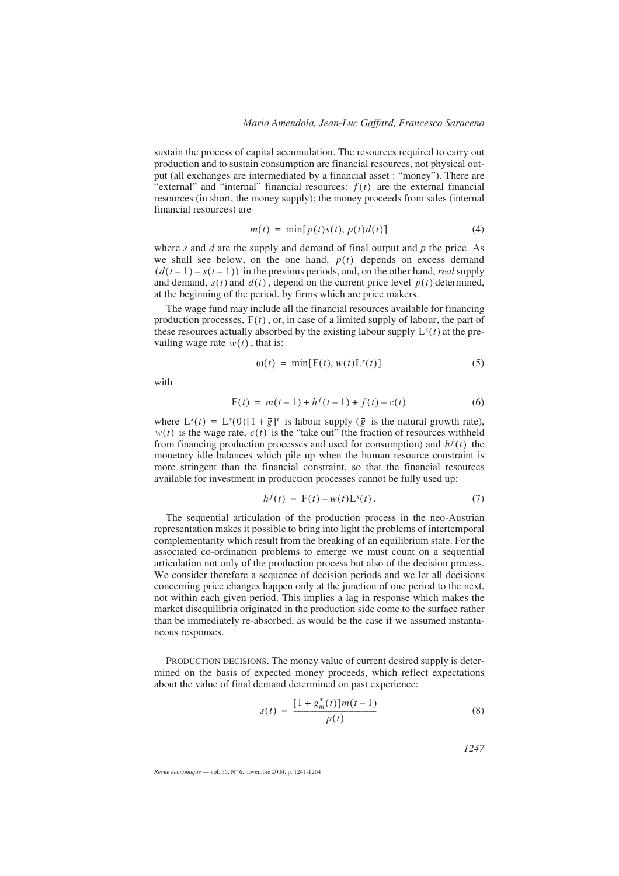sustain the process of capital accumulation. The resources required to carry out production and to sustain consumption are financial resources, not physical output (all exchanges are intermediated by a financial asset : "money"). There are "external" and "internal" financial resources:  $f(t)$  are the external financial resources (in short, the money supply); the money proceeds from sales (internal financial resources) are

$$
m(t) = \min[p(t)s(t), p(t)d(t)] \tag{4}
$$

where *s* and *d* are the supply and demand of final output and *p* the price. As we shall see below, on the one hand,  $p(t)$  depends on excess demand  $(d(t-1) - s(t-1))$  in the previous periods, and, on the other hand, *real* supply and demand,  $s(t)$  and  $d(t)$ , depend on the current price level  $p(t)$  determined, at the beginning of the period, by firms which are price makers.

The wage fund may include all the financial resources available for financing production processes,  $F(t)$ , or, in case of a limited supply of labour, the part of these resources actually absorbed by the existing labour supply  $L<sup>s</sup>(t)$  at the prevailing wage rate  $w(t)$ , that is:

$$
\omega(t) = \min[F(t), w(t)L^{s}(t)] \tag{5}
$$

with

$$
F(t) = m(t-1) + hf(t-1) + f(t) - c(t)
$$
\n(6)

where  $L^{s}(t) = L^{s}(0)[1 + \bar{g}]^{t}$  is labour supply ( $\bar{g}$  is the natural growth rate),  $w(t)$  is the wage rate,  $c(t)$  is the "take out" (the fraction of resources withheld from financing production processes and used for consumption) and  $h^f(t)$  the monetary idle balances which pile up when the human resource constraint is more stringent than the financial constraint, so that the financial resources available for investment in production processes cannot be fully used up:

$$
h^f(t) = \mathbf{F}(t) - w(t)\mathbf{L}^s(t). \tag{7}
$$

The sequential articulation of the production process in the neo-Austrian representation makes it possible to bring into light the problems of intertemporal complementarity which result from the breaking of an equilibrium state. For the associated co-ordination problems to emerge we must count on a sequential articulation not only of the production process but also of the decision process. We consider therefore a sequence of decision periods and we let all decisions concerning price changes happen only at the junction of one period to the next, not within each given period. This implies a lag in response which makes the market disequilibria originated in the production side come to the surface rather than be immediately re-absorbed, as would be the case if we assumed instantaneous responses.

PRODUCTION DECISIONS. The money value of current desired supply is determined on the basis of expected money proceeds, which reflect expectations about the value of final demand determined on past experience:

$$
s(t) = \frac{[1 + g_m^*(t)]m(t-1)}{p(t)}\tag{8}
$$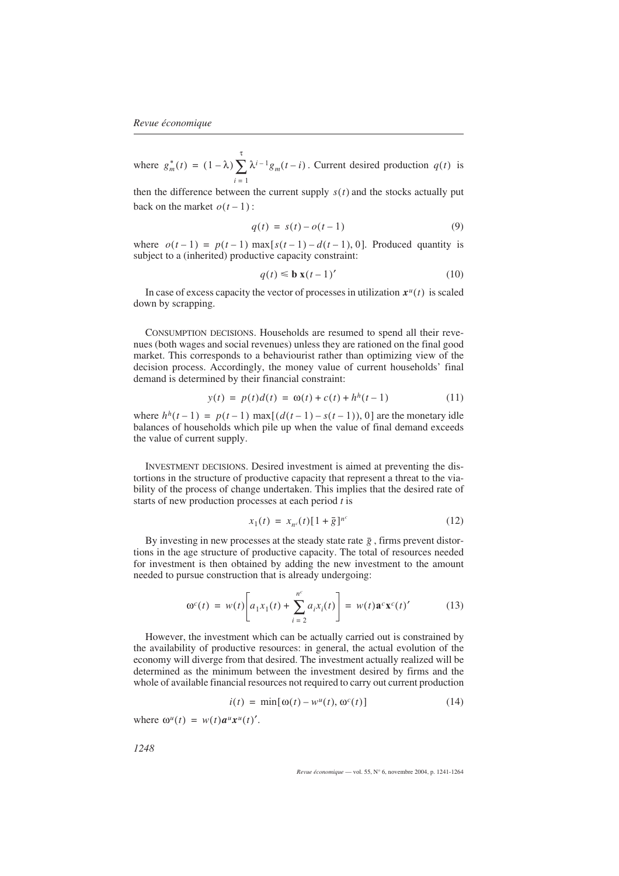where  $g_m^*(t) = (1 - \lambda) \sum \lambda^{i-1} g_m(t - i)$ . Current desired production  $q(t)$  is *i* = 1 τ  $= (1 - \lambda) \sum_{i=1}^{\infty} \lambda^{i-1} g_m(t - i)$ . Current desired production  $q(t)$ 

then the difference between the current supply  $s(t)$  and the stocks actually put back on the market  $o(t-1)$ :

$$
q(t) = s(t) - o(t-1)
$$
 (9)

where  $o(t-1) = p(t-1) \max[s(t-1) - d(t-1), 0]$ . Produced quantity is subject to a (inherited) productive capacity constraint:

$$
q(t) \leq \mathbf{b} \mathbf{x}(t-1)'
$$
 (10)

In case of excess capacity the vector of processes in utilization  $x^u(t)$  is scaled down by scrapping.

CONSUMPTION DECISIONS. Households are resumed to spend all their revenues (both wages and social revenues) unless they are rationed on the final good market. This corresponds to a behaviourist rather than optimizing view of the decision process. Accordingly, the money value of current households' final demand is determined by their financial constraint:

$$
y(t) = p(t)d(t) = \omega(t) + c(t) + h^{h}(t-1)
$$
\n(11)

where  $h^h(t-1) = p(t-1) \max[(d(t-1) - s(t-1)), 0]$  are the monetary idle balances of households which pile up when the value of final demand exceeds the value of current supply.

INVESTMENT DECISIONS. Desired investment is aimed at preventing the distortions in the structure of productive capacity that represent a threat to the viability of the process of change undertaken. This implies that the desired rate of starts of new production processes at each period *t* is

$$
x_1(t) = x_{n^c}(t)[1 + \bar{g}]^{n^c}
$$
 (12)

By investing in new processes at the steady state rate  $\bar{g}$ , firms prevent distortions in the age structure of productive capacity. The total of resources needed for investment is then obtained by adding the new investment to the amount needed to pursue construction that is already undergoing:

$$
\omega^{c}(t) = w(t) \left[ a_1 x_1(t) + \sum_{i=2}^{n^{c}} a_i x_i(t) \right] = w(t) \mathbf{a}^{c} \mathbf{x}^{c}(t)'
$$
(13)

However, the investment which can be actually carried out is constrained by the availability of productive resources: in general, the actual evolution of the economy will diverge from that desired. The investment actually realized will be determined as the minimum between the investment desired by firms and the whole of available financial resources not required to carry out current production

$$
i(t) = \min[\omega(t) - w^u(t), \omega^c(t)] \tag{14}
$$

where  $\omega^u(t) = w(t) a^u x^u(t)'$ .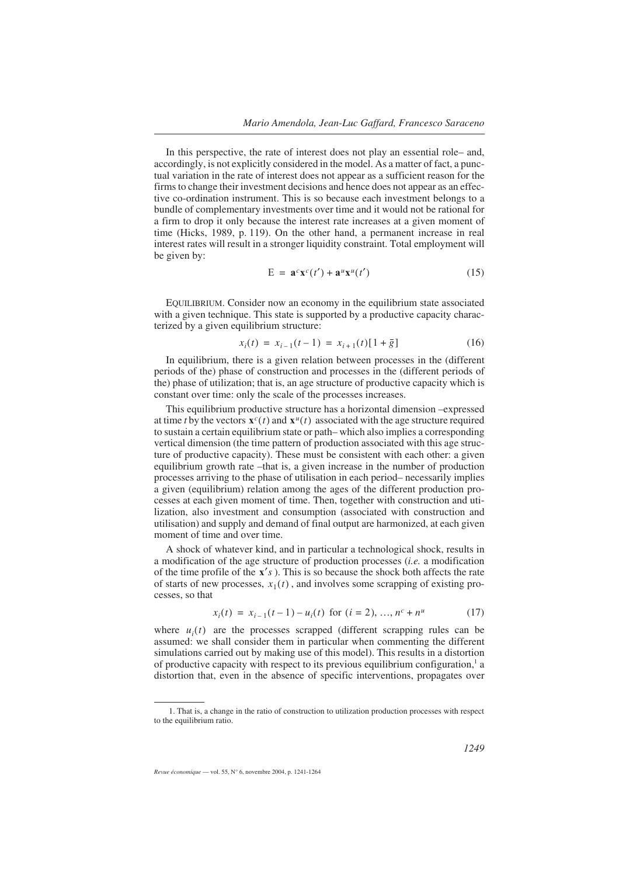In this perspective, the rate of interest does not play an essential role– and, accordingly, is not explicitly considered in the model. As a matter of fact, a punctual variation in the rate of interest does not appear as a sufficient reason for the firms to change their investment decisions and hence does not appear as an effective co-ordination instrument. This is so because each investment belongs to a bundle of complementary investments over time and it would not be rational for a firm to drop it only because the interest rate increases at a given moment of time (Hicks, 1989, p. 119). On the other hand, a permanent increase in real interest rates will result in a stronger liquidity constraint. Total employment will be given by:

$$
E = \mathbf{a}^c \mathbf{x}^c(t') + \mathbf{a}^u \mathbf{x}^u(t')
$$
 (15)

EQUILIBRIUM. Consider now an economy in the equilibrium state associated with a given technique. This state is supported by a productive capacity characterized by a given equilibrium structure:

$$
x_i(t) = x_{i-1}(t-1) = x_{i+1}(t)[1+\bar{g}] \tag{16}
$$

In equilibrium, there is a given relation between processes in the (different periods of the) phase of construction and processes in the (different periods of the) phase of utilization; that is, an age structure of productive capacity which is constant over time: only the scale of the processes increases.

This equilibrium productive structure has a horizontal dimension –expressed at time *t* by the vectors  $\mathbf{x}^c(t)$  and  $\mathbf{x}^u(t)$  associated with the age structure required to sustain a certain equilibrium state or path– which also implies a corresponding vertical dimension (the time pattern of production associated with this age structure of productive capacity). These must be consistent with each other: a given equilibrium growth rate –that is, a given increase in the number of production processes arriving to the phase of utilisation in each period– necessarily implies a given (equilibrium) relation among the ages of the different production processes at each given moment of time. Then, together with construction and utilization, also investment and consumption (associated with construction and utilisation) and supply and demand of final output are harmonized, at each given moment of time and over time.

A shock of whatever kind, and in particular a technological shock, results in a modification of the age structure of production processes (*i.e.* a modification of the time profile of the  $x's$ ). This is so because the shock both affects the rate of starts of new processes,  $x_1(t)$ , and involves some scrapping of existing processes, so that

$$
x_i(t) = x_{i-1}(t-1) - u_i(t)
$$
 for  $(i = 2), ..., n^c + n^u$  (17)

where  $u_i(t)$  are the processes scrapped (different scrapping rules can be assumed: we shall consider them in particular when commenting the different simulations carried out by making use of this model). This results in a distortion of productive capacity with respect to its previous equilibrium configuration, $<sup>1</sup>$  a</sup> distortion that, even in the absence of specific interventions, propagates over

<sup>1.</sup> That is, a change in the ratio of construction to utilization production processes with respect to the equilibrium ratio.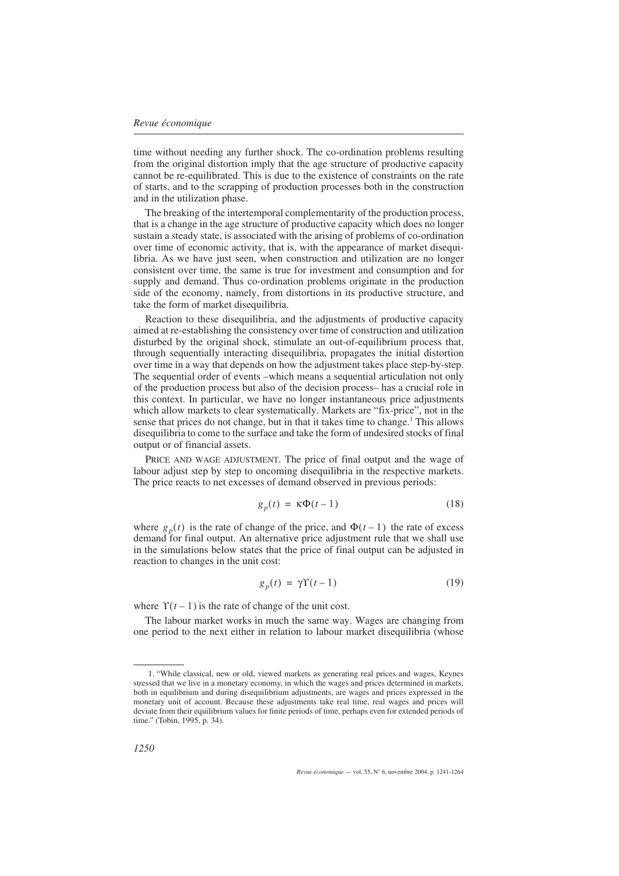time without needing any further shock. The co-ordination problems resulting from the original distortion imply that the age structure of productive capacity cannot be re-equilibrated. This is due to the existence of constraints on the rate of starts, and to the scrapping of production processes both in the construction and in the utilization phase.

The breaking of the intertemporal complementarity of the production process, that is a change in the age structure of productive capacity which does no longer sustain a steady state, is associated with the arising of problems of co-ordination over time of economic activity, that is, with the appearance of market disequilibria. As we have just seen, when construction and utilization are no longer consistent over time, the same is true for investment and consumption and for supply and demand. Thus co-ordination problems originate in the production side of the economy, namely, from distortions in its productive structure, and take the form of market disequilibria.

Reaction to these disequilibria, and the adjustments of productive capacity aimed at re-establishing the consistency over time of construction and utilization disturbed by the original shock, stimulate an out-of-equilibrium process that, through sequentially interacting disequilibria, propagates the initial distortion over time in a way that depends on how the adjustment takes place step-by-step. The sequential order of events –which means a sequential articulation not only of the production process but also of the decision process– has a crucial role in this context. In particular, we have no longer instantaneous price adjustments which allow markets to clear systematically. Markets are "fix-price", not in the sense that prices do not change, but in that it takes time to change.<sup>1</sup> This allows disequilibria to come to the surface and take the form of undesired stocks of final output or of financial assets.

PRICE AND WAGE ADJUSTMENT. The price of final output and the wage of labour adjust step by step to oncoming disequilibria in the respective markets. The price reacts to net excesses of demand observed in previous periods:

$$
g_p(t) = \kappa \Phi(t-1) \tag{18}
$$

where  $g_p(t)$  is the rate of change of the price, and  $\Phi(t-1)$  the rate of excess demand for final output. An alternative price adjustment rule that we shall use in the simulations below states that the price of final output can be adjusted in reaction to changes in the unit cost:

$$
g_p(t) = \gamma \Upsilon(t-1) \tag{19}
$$

where  $\Upsilon(t-1)$  is the rate of change of the unit cost.

The labour market works in much the same way. Wages are changing from one period to the next either in relation to labour market disequilibria (whose

<sup>1. &</sup>quot;While classical, new or old, viewed markets as generating real prices and wages, Keynes stressed that we live in a monetary economy, in which the wages and prices determined in markets, both in equilibrium and during disequilibrium adjustments, are wages and prices expressed in the monetary unit of account. Because these adjustments take real time, real wages and prices will deviate from their equilibrium values for finite periods of time, perhaps even for extended periods of time." (Tobin, 1995, p. 34).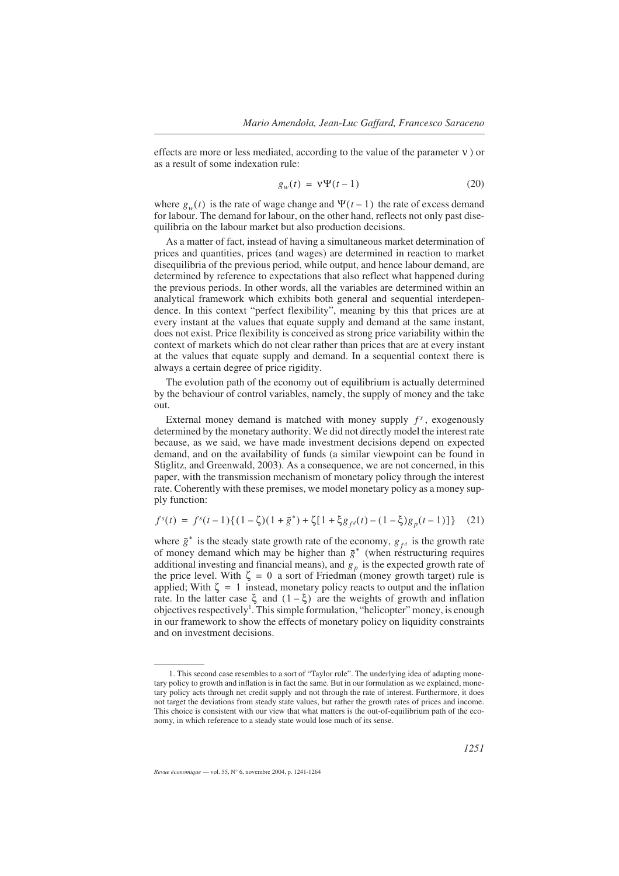effects are more or less mediated, according to the value of the parameter  $v$ ) or as a result of some indexation rule:

$$
g_w(t) = v\Psi(t-1) \tag{20}
$$

where  $g_w(t)$  is the rate of wage change and  $\Psi(t-1)$  the rate of excess demand for labour. The demand for labour, on the other hand, reflects not only past disequilibria on the labour market but also production decisions.

As a matter of fact, instead of having a simultaneous market determination of prices and quantities, prices (and wages) are determined in reaction to market disequilibria of the previous period, while output, and hence labour demand, are determined by reference to expectations that also reflect what happened during the previous periods. In other words, all the variables are determined within an analytical framework which exhibits both general and sequential interdependence. In this context "perfect flexibility", meaning by this that prices are at every instant at the values that equate supply and demand at the same instant, does not exist. Price flexibility is conceived as strong price variability within the context of markets which do not clear rather than prices that are at every instant at the values that equate supply and demand. In a sequential context there is always a certain degree of price rigidity.

The evolution path of the economy out of equilibrium is actually determined by the behaviour of control variables, namely, the supply of money and the take out.

External money demand is matched with money supply  $f<sup>s</sup>$ , exogenously determined by the monetary authority. We did not directly model the interest rate because, as we said, we have made investment decisions depend on expected demand, and on the availability of funds (a similar viewpoint can be found in Stiglitz, and Greenwald, 2003). As a consequence, we are not concerned, in this paper, with the transmission mechanism of monetary policy through the interest rate. Coherently with these premises, we model monetary policy as a money supply function:

$$
f^{s}(t) = f^{s}(t-1)\{(1-\zeta)(1+\bar{g}^{*}) + \zeta[1+\xi g_{f^{d}}(t) - (1-\xi)g_{p}(t-1)]\}
$$
 (21)

where  $\bar{g}^*$  is the steady state growth rate of the economy,  $g_{f^d}$  is the growth rate of money demand which may be higher than  $\bar{g}^*$  (when restructuring requires additional investing and financial means), and  $g_p$  is the expected growth rate of the price level. With  $\zeta = 0$  a sort of Friedman (money growth target) rule is applied; With  $\zeta = 1$  instead, monetary policy reacts to output and the inflation rate. In the latter case  $\xi$  and  $(1 - \xi)$  are the weights of growth and inflation objectives respectively<sup>1</sup>. This simple formulation, "helicopter" money, is enough in our framework to show the effects of monetary policy on liquidity constraints and on investment decisions.

<sup>1.</sup> This second case resembles to a sort of "Taylor rule". The underlying idea of adapting monetary policy to growth and inflation is in fact the same. But in our formulation as we explained, monetary policy acts through net credit supply and not through the rate of interest. Furthermore, it does not target the deviations from steady state values, but rather the growth rates of prices and income. This choice is consistent with our view that what matters is the out-of-equilibrium path of the economy, in which reference to a steady state would lose much of its sense.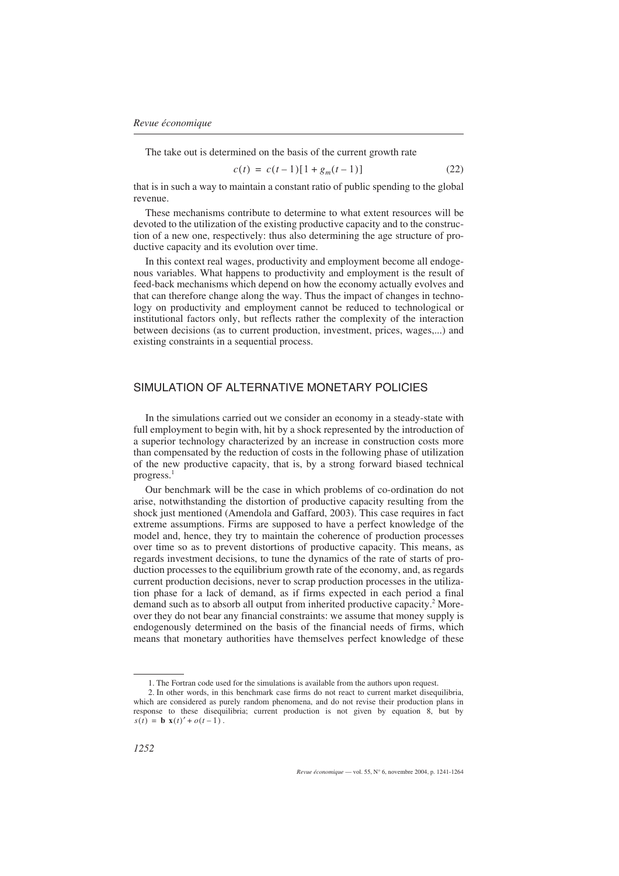The take out is determined on the basis of the current growth rate

$$
c(t) = c(t-1)[1 + g_m(t-1)] \tag{22}
$$

that is in such a way to maintain a constant ratio of public spending to the global revenue.

These mechanisms contribute to determine to what extent resources will be devoted to the utilization of the existing productive capacity and to the construction of a new one, respectively: thus also determining the age structure of productive capacity and its evolution over time.

In this context real wages, productivity and employment become all endogenous variables. What happens to productivity and employment is the result of feed-back mechanisms which depend on how the economy actually evolves and that can therefore change along the way. Thus the impact of changes in technology on productivity and employment cannot be reduced to technological or institutional factors only, but reflects rather the complexity of the interaction between decisions (as to current production, investment, prices, wages,...) and existing constraints in a sequential process.

#### SIMULATION OF ALTERNATIVE MONETARY POLICIES

In the simulations carried out we consider an economy in a steady-state with full employment to begin with, hit by a shock represented by the introduction of a superior technology characterized by an increase in construction costs more than compensated by the reduction of costs in the following phase of utilization of the new productive capacity, that is, by a strong forward biased technical progress.<sup>1</sup>

Our benchmark will be the case in which problems of co-ordination do not arise, notwithstanding the distortion of productive capacity resulting from the shock just mentioned (Amendola and Gaffard, 2003). This case requires in fact extreme assumptions. Firms are supposed to have a perfect knowledge of the model and, hence, they try to maintain the coherence of production processes over time so as to prevent distortions of productive capacity. This means, as regards investment decisions, to tune the dynamics of the rate of starts of production processes to the equilibrium growth rate of the economy, and, as regards current production decisions, never to scrap production processes in the utilization phase for a lack of demand, as if firms expected in each period a final demand such as to absorb all output from inherited productive capacity.<sup>2</sup> Moreover they do not bear any financial constraints: we assume that money supply is endogenously determined on the basis of the financial needs of firms, which means that monetary authorities have themselves perfect knowledge of these

<sup>1.</sup> The Fortran code used for the simulations is available from the authors upon request.

<sup>2.</sup> In other words, in this benchmark case firms do not react to current market disequilibria, which are considered as purely random phenomena, and do not revise their production plans in response to these disequilibria; current production is not given by equation 8, but by  $s(t) = \mathbf{b} \mathbf{x}(t)' + o(t-1)$ .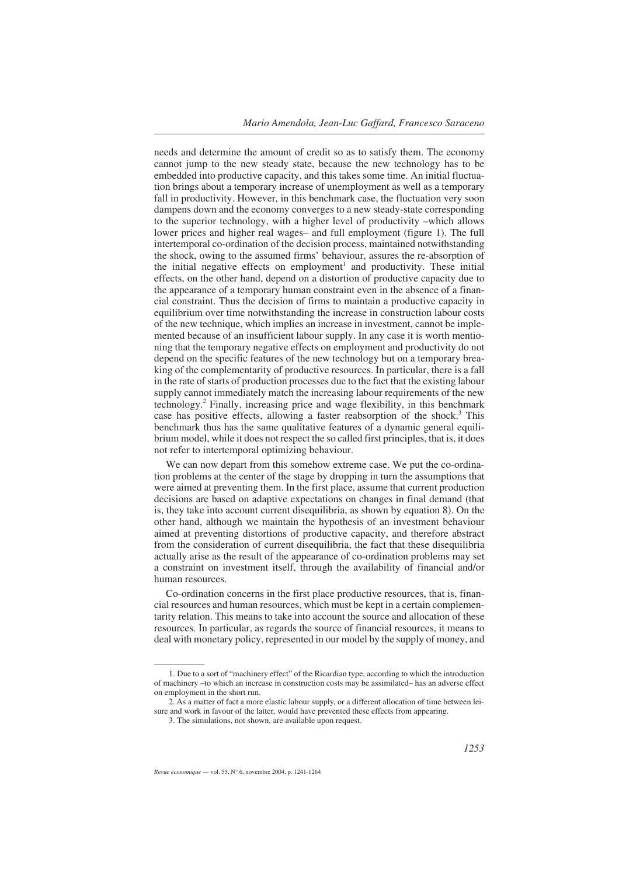needs and determine the amount of credit so as to satisfy them. The economy cannot jump to the new steady state, because the new technology has to be embedded into productive capacity, and this takes some time. An initial fluctuation brings about a temporary increase of unemployment as well as a temporary fall in productivity. However, in this benchmark case, the fluctuation very soon dampens down and the economy converges to a new steady-state corresponding to the superior technology, with a higher level of productivity –which allows lower prices and higher real wages– and full employment (figure 1). The full intertemporal co-ordination of the decision process, maintained notwithstanding the shock, owing to the assumed firms' behaviour, assures the re-absorption of the initial negative effects on employment<sup>1</sup> and productivity. These initial effects, on the other hand, depend on a distortion of productive capacity due to the appearance of a temporary human constraint even in the absence of a financial constraint. Thus the decision of firms to maintain a productive capacity in equilibrium over time notwithstanding the increase in construction labour costs of the new technique, which implies an increase in investment, cannot be implemented because of an insufficient labour supply. In any case it is worth mentioning that the temporary negative effects on employment and productivity do not depend on the specific features of the new technology but on a temporary breaking of the complementarity of productive resources. In particular, there is a fall in the rate of starts of production processes due to the fact that the existing labour supply cannot immediately match the increasing labour requirements of the new technology.2 Finally, increasing price and wage flexibility, in this benchmark case has positive effects, allowing a faster reabsorption of the shock.<sup>3</sup> This benchmark thus has the same qualitative features of a dynamic general equilibrium model, while it does not respect the so called first principles, that is, it does not refer to intertemporal optimizing behaviour.

We can now depart from this somehow extreme case. We put the co-ordination problems at the center of the stage by dropping in turn the assumptions that were aimed at preventing them. In the first place, assume that current production decisions are based on adaptive expectations on changes in final demand (that is, they take into account current disequilibria, as shown by equation 8). On the other hand, although we maintain the hypothesis of an investment behaviour aimed at preventing distortions of productive capacity, and therefore abstract from the consideration of current disequilibria, the fact that these disequilibria actually arise as the result of the appearance of co-ordination problems may set a constraint on investment itself, through the availability of financial and/or human resources.

Co-ordination concerns in the first place productive resources, that is, financial resources and human resources, which must be kept in a certain complementarity relation. This means to take into account the source and allocation of these resources. In particular, as regards the source of financial resources, it means to deal with monetary policy, represented in our model by the supply of money, and

<sup>1.</sup> Due to a sort of "machinery effect" of the Ricardian type, according to which the introduction of machinery –to which an increase in construction costs may be assimilated– has an adverse effect on employment in the short run.

<sup>2.</sup> As a matter of fact a more elastic labour supply, or a different allocation of time between leisure and work in favour of the latter, would have prevented these effects from appearing.

<sup>3.</sup> The simulations, not shown, are available upon request.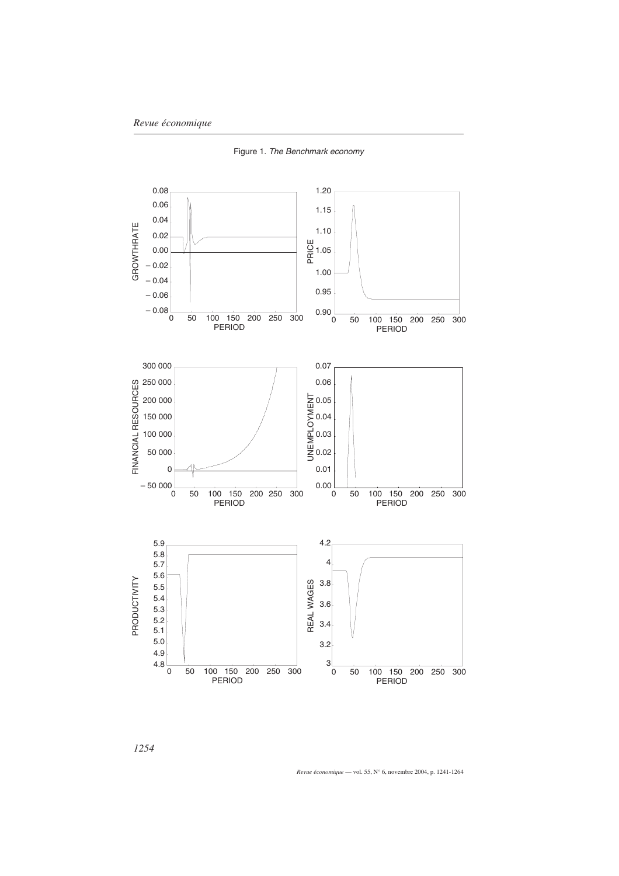

Figure 1. *The Benchmark economy*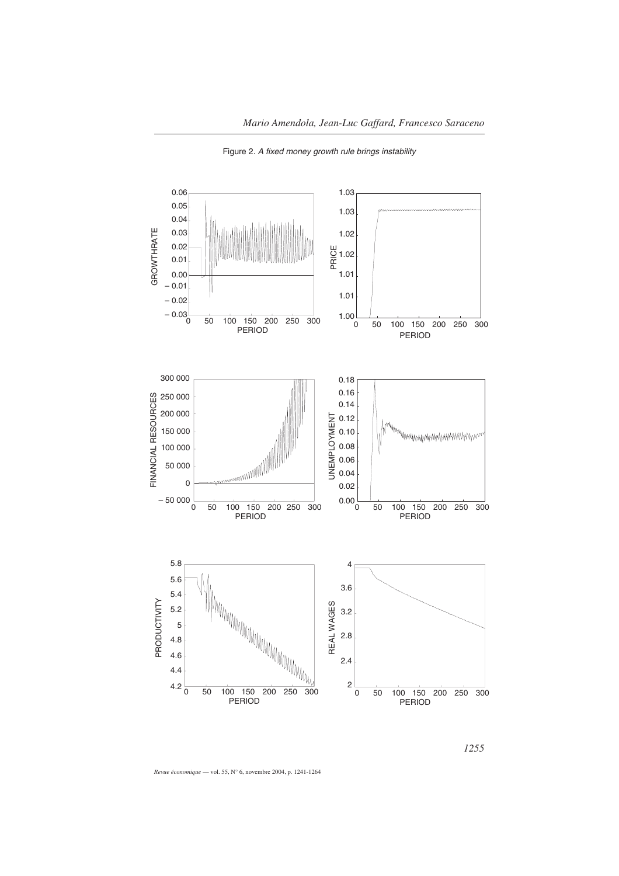

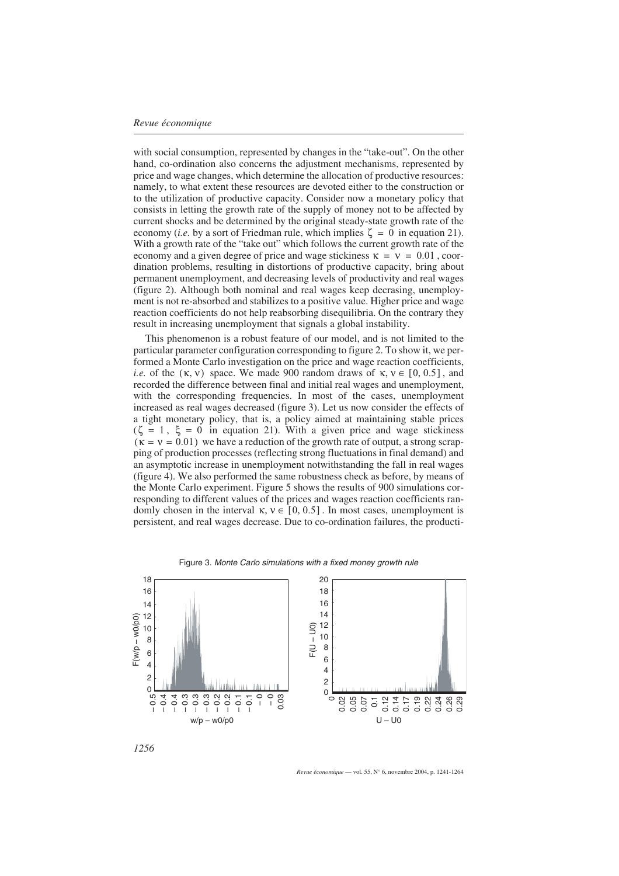with social consumption, represented by changes in the "take-out". On the other hand, co-ordination also concerns the adjustment mechanisms, represented by price and wage changes, which determine the allocation of productive resources: namely, to what extent these resources are devoted either to the construction or to the utilization of productive capacity. Consider now a monetary policy that consists in letting the growth rate of the supply of money not to be affected by current shocks and be determined by the original steady-state growth rate of the economy (*i.e.* by a sort of Friedman rule, which implies  $\zeta = 0$  in equation 21). With a growth rate of the "take out" which follows the current growth rate of the economy and a given degree of price and wage stickiness  $\kappa = v = 0.01$ , coordination problems, resulting in distortions of productive capacity, bring about permanent unemployment, and decreasing levels of productivity and real wages (figure 2). Although both nominal and real wages keep decrasing, unemployment is not re-absorbed and stabilizes to a positive value. Higher price and wage reaction coefficients do not help reabsorbing disequilibria. On the contrary they result in increasing unemployment that signals a global instability.

This phenomenon is a robust feature of our model, and is not limited to the particular parameter configuration corresponding to figure 2. To show it, we performed a Monte Carlo investigation on the price and wage reaction coefficients, *i.e.* of the  $(\kappa, \nu)$  space. We made 900 random draws of  $\kappa, \nu \in [0, 0.5]$ , and recorded the difference between final and initial real wages and unemployment, with the corresponding frequencies. In most of the cases, unemployment increased as real wages decreased (figure 3). Let us now consider the effects of a tight monetary policy, that is, a policy aimed at maintaining stable prices  $(\zeta = 1, \xi = 0)$  in equation 21). With a given price and wage stickiness  $(\kappa = v = 0.01)$  we have a reduction of the growth rate of output, a strong scrapping of production processes (reflecting strong fluctuations in final demand) and an asymptotic increase in unemployment notwithstanding the fall in real wages (figure 4). We also performed the same robustness check as before, by means of the Monte Carlo experiment. Figure 5 shows the results of 900 simulations corresponding to different values of the prices and wages reaction coefficients randomly chosen in the interval  $\kappa$ ,  $v \in [0, 0.5]$ . In most cases, unemployment is persistent, and real wages decrease. Due to co-ordination failures, the producti-



Figure 3. *Monte Carlo simulations with a fixed money growth rule*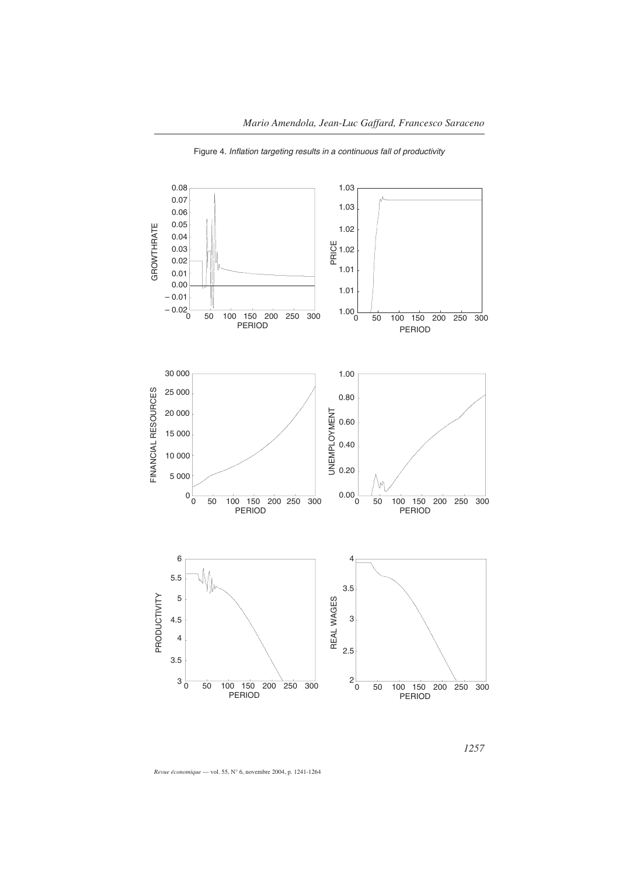

Figure 4. *Inflation targeting results in a continuous fall of productivity*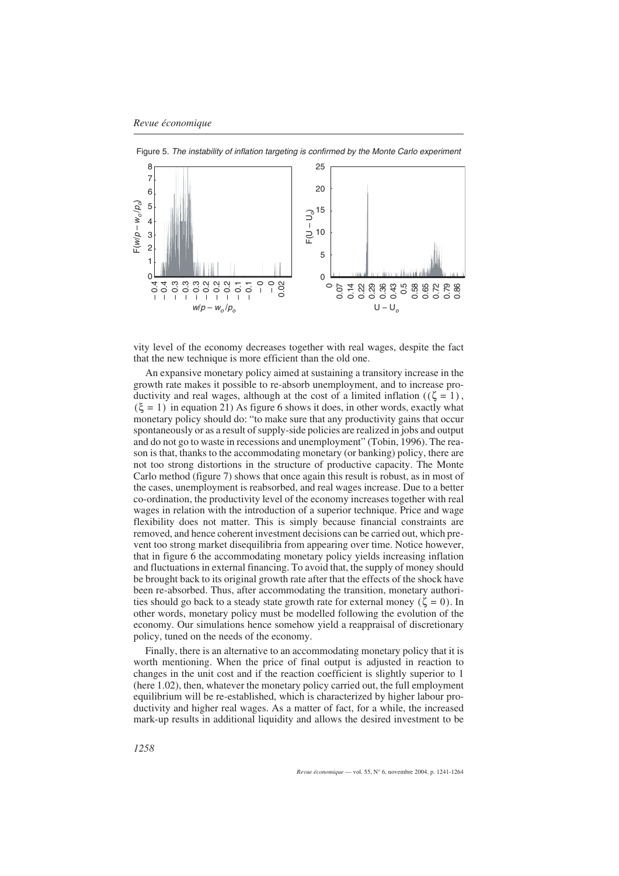

Figure 5. *The instability of inflation targeting is confirmed by the Monte Carlo experiment*

vity level of the economy decreases together with real wages, despite the fact that the new technique is more efficient than the old one.

An expansive monetary policy aimed at sustaining a transitory increase in the growth rate makes it possible to re-absorb unemployment, and to increase productivity and real wages, although at the cost of a limited inflation ( $(\zeta = 1)$ ,  $(\xi = 1)$  in equation 21) As figure 6 shows it does, in other words, exactly what monetary policy should do: "to make sure that any productivity gains that occur spontaneously or as a result of supply-side policies are realized in jobs and output and do not go to waste in recessions and unemployment" (Tobin, 1996). The reason is that, thanks to the accommodating monetary (or banking) policy, there are not too strong distortions in the structure of productive capacity. The Monte Carlo method (figure 7) shows that once again this result is robust, as in most of the cases, unemployment is reabsorbed, and real wages increase. Due to a better co-ordination, the productivity level of the economy increases together with real wages in relation with the introduction of a superior technique. Price and wage flexibility does not matter. This is simply because financial constraints are removed, and hence coherent investment decisions can be carried out, which prevent too strong market disequilibria from appearing over time. Notice however, that in figure 6 the accommodating monetary policy yields increasing inflation and fluctuations in external financing. To avoid that, the supply of money should be brought back to its original growth rate after that the effects of the shock have been re-absorbed. Thus, after accommodating the transition, monetary authorities should go back to a steady state growth rate for external money ( $\zeta = 0$ ). In other words, monetary policy must be modelled following the evolution of the economy. Our simulations hence somehow yield a reappraisal of discretionary policy, tuned on the needs of the economy.

Finally, there is an alternative to an accommodating monetary policy that it is worth mentioning. When the price of final output is adjusted in reaction to changes in the unit cost and if the reaction coefficient is slightly superior to 1 (here 1.02), then, whatever the monetary policy carried out, the full employment equilibrium will be re-established, which is characterized by higher labour productivity and higher real wages. As a matter of fact, for a while, the increased mark-up results in additional liquidity and allows the desired investment to be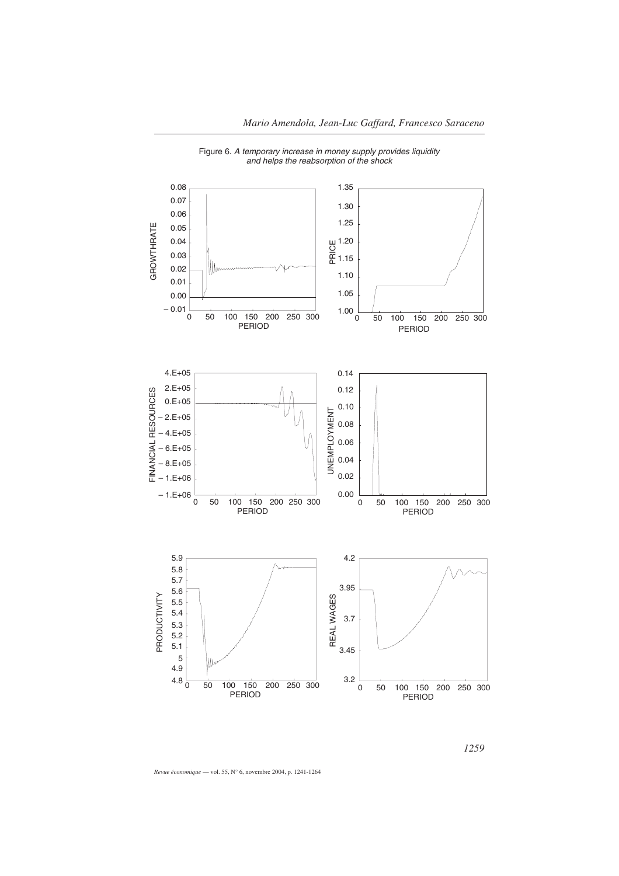

Figure 6. *A temporary increase in money supply provides liquidity and helps the reabsorption of the shock*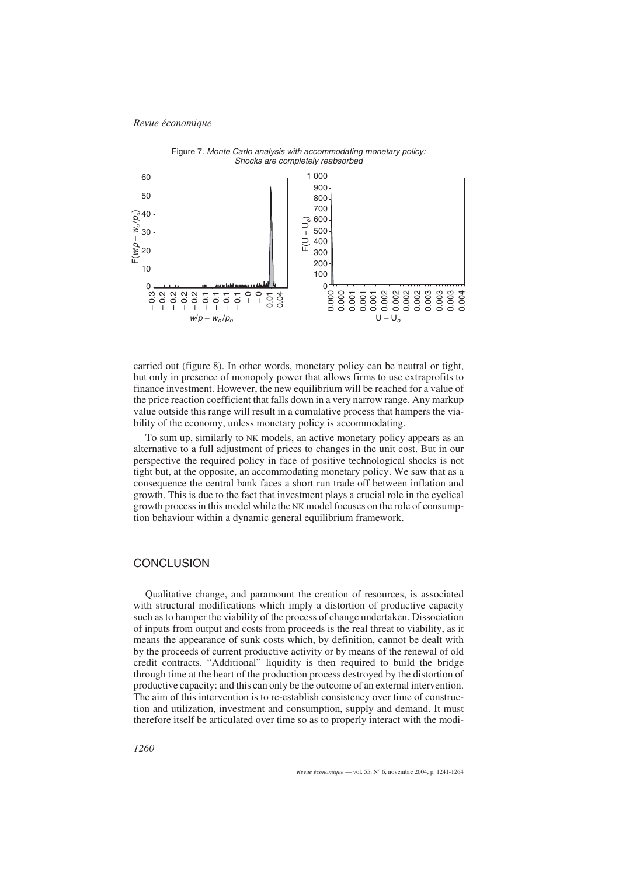



carried out (figure 8). In other words, monetary policy can be neutral or tight, but only in presence of monopoly power that allows firms to use extraprofits to finance investment. However, the new equilibrium will be reached for a value of the price reaction coefficient that falls down in a very narrow range. Any markup value outside this range will result in a cumulative process that hampers the viability of the economy, unless monetary policy is accommodating.

To sum up, similarly to NK models, an active monetary policy appears as an alternative to a full adjustment of prices to changes in the unit cost. But in our perspective the required policy in face of positive technological shocks is not tight but, at the opposite, an accommodating monetary policy. We saw that as a consequence the central bank faces a short run trade off between inflation and growth. This is due to the fact that investment plays a crucial role in the cyclical growth process in this model while the NK model focuses on the role of consumption behaviour within a dynamic general equilibrium framework.

#### CONCLUSION

Qualitative change, and paramount the creation of resources, is associated with structural modifications which imply a distortion of productive capacity such as to hamper the viability of the process of change undertaken. Dissociation of inputs from output and costs from proceeds is the real threat to viability, as it means the appearance of sunk costs which, by definition, cannot be dealt with by the proceeds of current productive activity or by means of the renewal of old credit contracts. "Additional" liquidity is then required to build the bridge through time at the heart of the production process destroyed by the distortion of productive capacity: and this can only be the outcome of an external intervention. The aim of this intervention is to re-establish consistency over time of construction and utilization, investment and consumption, supply and demand. It must therefore itself be articulated over time so as to properly interact with the modi-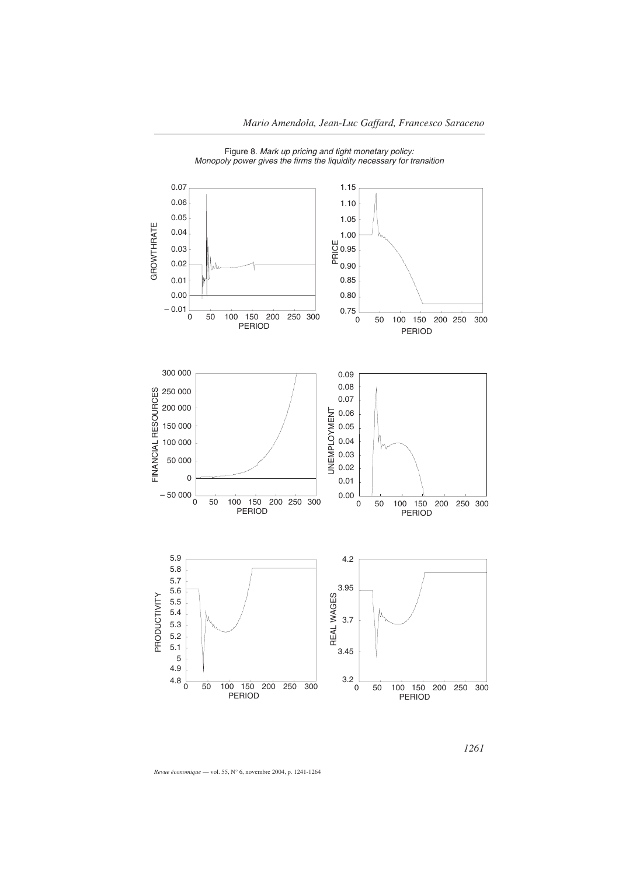

Figure 8. *Mark up pricing and tight monetary policy: Monopoly power gives the firms the liquidity necessary for transition*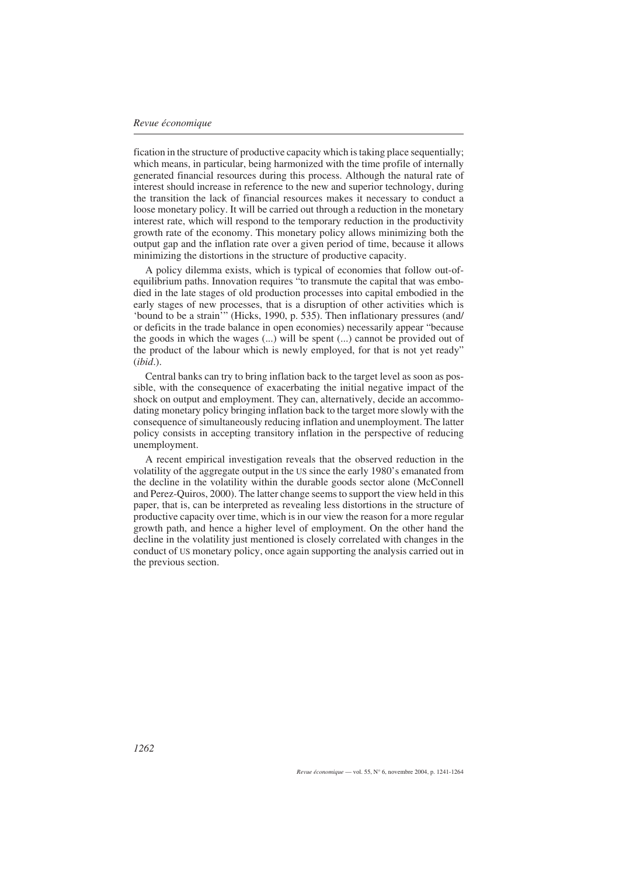fication in the structure of productive capacity which is taking place sequentially; which means, in particular, being harmonized with the time profile of internally generated financial resources during this process. Although the natural rate of interest should increase in reference to the new and superior technology, during the transition the lack of financial resources makes it necessary to conduct a loose monetary policy. It will be carried out through a reduction in the monetary interest rate, which will respond to the temporary reduction in the productivity growth rate of the economy. This monetary policy allows minimizing both the output gap and the inflation rate over a given period of time, because it allows minimizing the distortions in the structure of productive capacity.

A policy dilemma exists, which is typical of economies that follow out-ofequilibrium paths. Innovation requires "to transmute the capital that was embodied in the late stages of old production processes into capital embodied in the early stages of new processes, that is a disruption of other activities which is 'bound to be a strain'" (Hicks, 1990, p. 535). Then inflationary pressures (and/ or deficits in the trade balance in open economies) necessarily appear "because the goods in which the wages (...) will be spent (...) cannot be provided out of the product of the labour which is newly employed, for that is not yet ready" (*ibid*.).

Central banks can try to bring inflation back to the target level as soon as possible, with the consequence of exacerbating the initial negative impact of the shock on output and employment. They can, alternatively, decide an accommodating monetary policy bringing inflation back to the target more slowly with the consequence of simultaneously reducing inflation and unemployment. The latter policy consists in accepting transitory inflation in the perspective of reducing unemployment.

A recent empirical investigation reveals that the observed reduction in the volatility of the aggregate output in the US since the early 1980's emanated from the decline in the volatility within the durable goods sector alone (McConnell and Perez-Quiros, 2000). The latter change seems to support the view held in this paper, that is, can be interpreted as revealing less distortions in the structure of productive capacity over time, which is in our view the reason for a more regular growth path, and hence a higher level of employment. On the other hand the decline in the volatility just mentioned is closely correlated with changes in the conduct of US monetary policy, once again supporting the analysis carried out in the previous section.